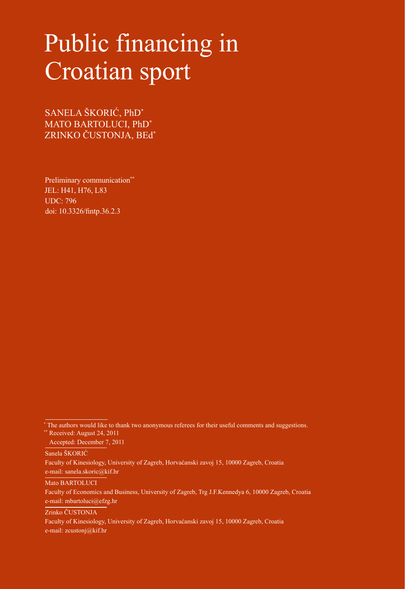# Public financing in Croatian sport

SANELA ŠKORIĆ, PhD\* MATO BARTOLUCI, PhD\* ZRINKO ČUSTONJA, BEd\*

Preliminary communication\*\* JEL: H41, H76, L83 UDC: 796 [doi: 10.3326/fintp.36.2.3](http://dx.doi.org/10.3326/fintp.36.2.3)

Accepted: December 7, 2011

Sanela ŠKORIĆ

Faculty of Kinesiology, University of Zagreb, Horvaćanski zavoj 15, 10000 Zagreb, Croatia e-mail: sanela.skoric@kif.hr

Mato BARTOLUCI

Faculty of Economics and Business, University of Zagreb, Trg J.F.Kennedya 6, 10000 Zagreb, Croatia e-mail: mbartoluci@efzg.hr

Zrinko ČUSTONJA

Faculty of Kinesiology, University of Zagreb, Horvaćanski zavoj 15, 10000 Zagreb, Croatia e-mail: zcustonj@kif.hr

<sup>\*</sup> The authors would like to thank two anonymous referees for their useful comments and suggestions. \*\* Received: August 24, 2011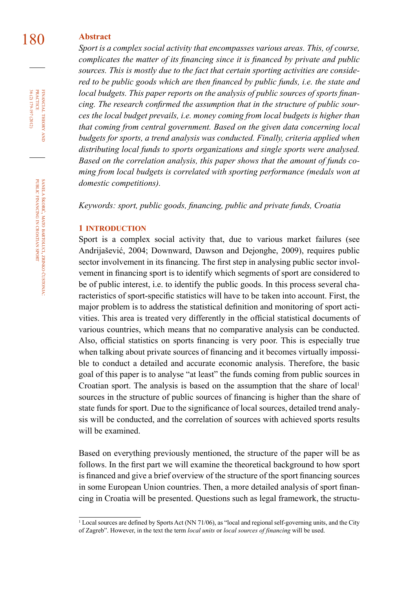### 180 **Abstract**

*Sport is a complex social activity that encompasses various areas. This, of course, complicates the matter of its financing since it is financed by private and public sources. This is mostly due to the fact that certain sporting activities are considered to be public goods which are then financed by public funds, i.e. the state and local budgets. This paper reports on the analysis of public sources of sports financing. The research confirmed the assumption that in the structure of public sources the local budget prevails, i.e. money coming from local budgets is higher than that coming from central government. Based on the given data concerning local budgets for sports, a trend analysis was conducted. Finally, criteria applied when distributing local funds to sports organizations and single sports were analysed. Based on the correlation analysis, this paper shows that the amount of funds coming from local budgets is correlated with sporting performance (medals won at domestic competitions).* 

*Keywords: sport, public goods, financing, public and private funds, Croatia*

#### **1 introduction**

Sport is a complex social activity that, due to various market failures (see Andrijašević, 2004; Downward, Dawson and Dejonghe, 2009), requires public sector involvement in its financing. The first step in analysing public sector involvement in financing sport is to identify which segments of sport are considered to be of public interest, i.e. to identify the public goods. In this process several characteristics of sport-specific statistics will have to be taken into account. First, the major problem is to address the statistical definition and monitoring of sport activities. This area is treated very differently in the official statistical documents of various countries, which means that no comparative analysis can be conducted. Also, official statistics on sports financing is very poor. This is especially true when talking about private sources of financing and it becomes virtually impossible to conduct a detailed and accurate economic analysis. Therefore, the basic goal of this paper is to analyse "at least" the funds coming from public sources in Croatian sport. The analysis is based on the assumption that the share of  $local<sup>1</sup>$ sources in the structure of public sources of financing is higher than the share of state funds for sport. Due to the significance of local sources, detailed trend analysis will be conducted, and the correlation of sources with achieved sports results will be examined.

Based on everything previously mentioned, the structure of the paper will be as follows. In the first part we will examine the theoretical background to how sport is financed and give a brief overview of the structure of the sport financing sources in some European Union countries. Then, a more detailed analysis of sport financing in Croatia will be presented. Questions such as legal framework, the structu-

36 (2) 179-197 (2012) FINANCIAL THEORY<br>PRACTICE 36 (2) 179-197 (2012) PRACTICE financial theory and

<sup>1</sup> Local sources are defined by Sports Act (NN 71/06), as "local and regional self-governing units, and the City of Zagreb". However, in the text the term *local units* or *local sources of financing* will be used.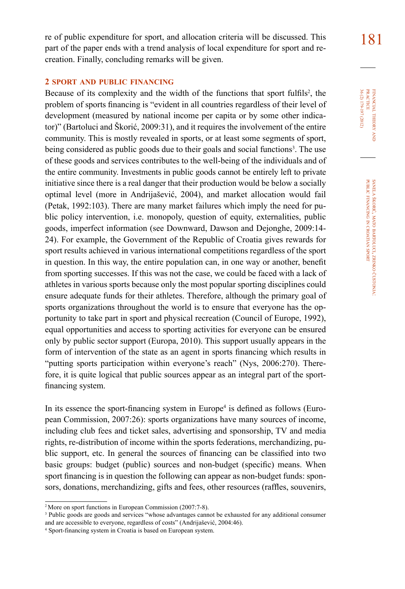181 re of public expenditure for sport, and allocation criteria will be discussed. This part of the paper ends with a trend analysis of local expenditure for sport and recreation. Finally, concluding remarks will be given.

#### **2 sport and public financing**

Because of its complexity and the width of the functions that sport fulfils<sup>2</sup>, the problem of sports financing is "evident in all countries regardless of their level of development (measured by national income per capita or by some other indicator)" (Bartoluci and Škorić, 2009:31), and it requires the involvement of the entire community. This is mostly revealed in sports, or at least some segments of sport, being considered as public goods due to their goals and social functions<sup>3</sup>. The use of these goods and services contributes to the well-being of the individuals and of the entire community. Investments in public goods cannot be entirely left to private initiative since there is a real danger that their production would be below a socially optimal level (more in Andrijašević, 2004), and market allocation would fail (Petak, 1992:103). There are many market failures which imply the need for public policy intervention, i.e. monopoly, question of equity, externalities, public goods, imperfect information (see Downward, Dawson and Dejonghe, 2009:14- 24). For example, the Government of the Republic of Croatia gives rewards for sport results achieved in various international competitions regardless of the sport in question. In this way, the entire population can, in one way or another, benefit from sporting successes. If this was not the case, we could be faced with a lack of athletes in various sports because only the most popular sporting disciplines could ensure adequate funds for their athletes. Therefore, although the primary goal of sports organizations throughout the world is to ensure that everyone has the opportunity to take part in sport and physical recreation (Council of Europe, 1992), equal opportunities and access to sporting activities for everyone can be ensured only by public sector support (Europa, 2010). This support usually appears in the form of intervention of the state as an agent in sports financing which results in "putting sports participation within everyone's reach" (Nys, 2006:270). Therefore, it is quite logical that public sources appear as an integral part of the sportfinancing system.

In its essence the sport-financing system in Europe<sup>4</sup> is defined as follows (European Commission, 2007:26): sports organizations have many sources of income, including club fees and ticket sales, advertising and sponsorship, TV and media rights, re-distribution of income within the sports federations, merchandizing, public support, etc. In general the sources of financing can be classified into two basic groups: budget (public) sources and non-budget (specific) means. When sport financing is in question the following can appear as non-budget funds: sponsors, donations, merchandizing, gifts and fees, other resources (raffles, souvenirs, 36 (2) 179-197 (2012) FINANCIAL THEORY<br>PRACTICE 36 (2) 179-197 (2012) practice financial theory in  $\sum_{i=1}^{n}$ 

<sup>&</sup>lt;sup>2</sup> More on sport functions in European Commission (2007:7-8).

<sup>&</sup>lt;sup>3</sup> Public goods are goods and services "whose advantages cannot be exhausted for any additional consumer and are accessible to everyone, regardless of costs" (Andrijašević, 2004:46).

Sport-financing system in Croatia is based on European system.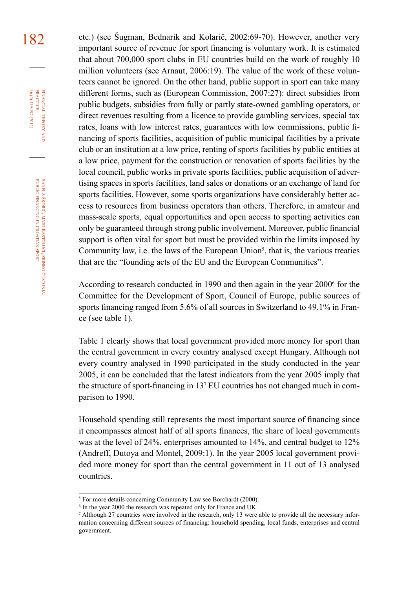182 etc.) (see Šugman, Bednarik and Kolarič, 2002:69-70). However, another very important source of revenue for sport financing is voluntary work. It is estimated that about 700,000 sport clubs in EU countries build on the work of roughly 10 million volunteers (see Arnaut, 2006:19). The value of the work of these volunteers cannot be ignored. On the other hand, public support in sport can take many different forms, such as (European Commission, 2007:27): direct subsidies from public budgets, subsidies from fully or partly state-owned gambling operators, or direct revenues resulting from a licence to provide gambling services, special tax rates, loans with low interest rates, guarantees with low commissions, public financing of sports facilities, acquisition of public municipal facilities by a private club or an institution at a low price, renting of sports facilities by public entities at a low price, payment for the construction or renovation of sports facilities by the local council, public works in private sports facilities, public acquisition of advertising spaces in sports facilities, land sales or donations or an exchange of land for sports facilities. However, some sports organizations have considerably better access to resources from business operators than others. Therefore, in amateur and mass-scale sports, equal opportunities and open access to sporting activities can only be guaranteed through strong public involvement. Moreover, public financial support is often vital for sport but must be provided within the limits imposed by Community law, i.e. the laws of the European Union<sup>5</sup>, that is, the various treaties that are the "founding acts of the EU and the European Communities".

> According to research conducted in 1990 and then again in the year  $2000^6$  for the Committee for the Development of Sport, Council of Europe, public sources of sports financing ranged from 5.6% of all sources in Switzerland to 49.1% in France (see table 1).

> Table 1 clearly shows that local government provided more money for sport than the central government in every country analysed except Hungary. Although not every country analysed in 1990 participated in the study conducted in the year 2005, it can be concluded that the latest indicators from the year 2005 imply that the structure of sport-financing in 13<sup>7</sup> EU countries has not changed much in comparison to 1990.

> Household spending still represents the most important source of financing since it encompasses almost half of all sports finances, the share of local governments was at the level of 24%, enterprises amounted to 14%, and central budget to 12% (Andreff, Dutoya and Montel, 2009:1). In the year 2005 local government provided more money for sport than the central government in 11 out of 13 analysed countries.

financial

PRACTICE

<sup>&</sup>lt;sup>5</sup> For more details concerning Community Law see Borchardt (2000).

<sup>&</sup>lt;sup>6</sup> In the year 2000 the research was repeated only for France and UK.

<sup>7</sup> Although 27 countries were involved in the research, only 13 were able to provide all the necessary information concerning different sources of financing: household spending, local funds, enterprises and central government.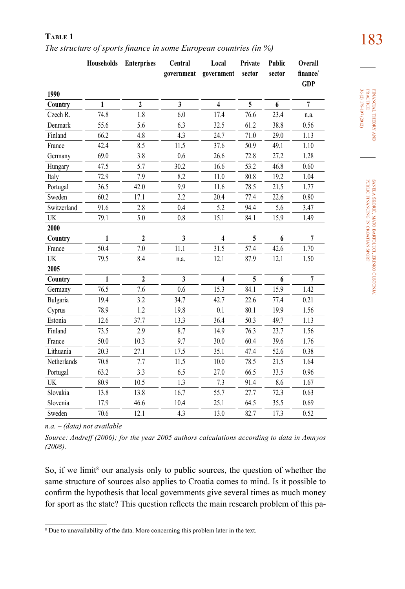183 **Table 1** *The structure of sports finance in some European countries (in %)*

|             | Households | <b>Enterprises</b> | Central      | Local               | Private | Public | Overall        |
|-------------|------------|--------------------|--------------|---------------------|---------|--------|----------------|
|             |            |                    | government   | government          | sector  | sector | finance/       |
|             |            |                    |              |                     |         |        | <b>GDP</b>     |
| 1990        |            |                    |              |                     |         |        |                |
| Country     | 1          | $\mathbf{2}$       | $\mathbf{3}$ | $\overline{\bf{4}}$ | 5       | 6      | $\overline{7}$ |
| Czech R.    | 74.8       | 1.8                | 6.0          | 17.4                | 76.6    | 23.4   | n.a.           |
| Denmark     | 55.6       | 5.6                | 6.3          | 32.5                | 61.2    | 38.8   | 0.56           |
| Finland     | 66.2       | 4.8                | 4.3          | 24.7                | 71.0    | 29.0   | 1.13           |
| France      | 42.4       | 8.5                | 11.5         | 37.6                | 50.9    | 49.1   | 1.10           |
| Germany     | 69.0       | 3.8                | 0.6          | 26.6                | 72.8    | 27.2   | 1.28           |
| Hungary     | 47.5       | 5.7                | 30.2         | 16.6                | 53.2    | 46.8   | 0.60           |
| Italy       | 72.9       | 7.9                | 8.2          | 11.0                | 80.8    | 19.2   | 1.04           |
| Portugal    | 36.5       | 42.0               | 9.9          | 11.6                | 78.5    | 21.5   | 1.77           |
| Sweden      | 60.2       | 17.1               | 2.2          | 20.4                | 77.4    | 22.6   | 0.80           |
| Switzerland | 91.6       | 2.8                | 0.4          | 5.2                 | 94.4    | 5.6    | 3.47           |
| UK          | 79.1       | 5.0                | 0.8          | 15.1                | 84.1    | 15.9   | 1.49           |
| 2000        |            |                    |              |                     |         |        |                |
| Country     | 1          | $\mathbf{2}$       | $\mathbf{3}$ | 4                   | 5       | 6      | $\overline{7}$ |
| France      | 50.4       | 7.0                | 11.1         | 31.5                | 57.4    | 42.6   | 1.70           |
| UK          | 79.5       | 8.4                | n.a.         | 12.1                | 87.9    | 12.1   | 1.50           |
| 2005        |            |                    |              |                     |         |        |                |
| Country     | 1          | $\overline{2}$     | $\mathbf{3}$ | 4                   | 5       | 6      | $\overline{7}$ |
| Germany     | 76.5       | 7.6                | 0.6          | 15.3                | 84.1    | 15.9   | 1.42           |
| Bulgaria    | 19.4       | 3.2                | 34.7         | 42.7                | 22.6    | 77.4   | 0.21           |
| Cyprus      | 78.9       | 1.2                | 19.8         | 0.1                 | 80.1    | 19.9   | 1.56           |
| Estonia     | 12.6       | 37.7               | 13.3         | 36.4                | 50.3    | 49.7   | 1.13           |
| Finland     | 73.5       | 2.9                | 8.7          | 14.9                | 76.3    | 23.7   | 1.56           |
| France      | 50.0       | 10.3               | 9.7          | 30.0                | 60.4    | 39.6   | 1.76           |
| Lithuania   | 20.3       | 27.1               | 17.5         | 35.1                | 47.4    | 52.6   | 0.38           |
| Netherlands | 70.8       | 7.7                | 11.5         | $10.0$              | 78.5    | 21.5   | 1.64           |
| Portugal    | 63.2       | 3.3                | 6.5          | 27.0                | 66.5    | 33.5   | 0.96           |
| UK          | 80.9       | 10.5               | 1.3          | 7.3                 | 91.4    | 8.6    | 1.67           |
| Slovakia    | 13.8       | 13.8               | 16.7         | 55.7                | 27.7    | 72.3   | 0.63           |
| Slovenia    | 17.9       | 46.6               | 10.4         | 25.1                | 64.5    | 35.5   | 0.69           |
| Sweden      | 70.6       | 12.1               | 4.3          | 13.0                | 82.7    | 17.3   | 0.52           |

*n.a. – (data) not available*

*Source: Andreff (2006); for the year 2005 authors calculations according to data in Amnyos (2008).*

So, if we limit<sup>8</sup> our analysis only to public sources, the question of whether the same structure of sources also applies to Croatia comes to mind. Is it possible to confirm the hypothesis that local governments give several times as much money for sport as the state? This question reflects the main research problem of this pa-

financial theory FINANCIAL THEORY AND<br>PRACTICE<br>36 (2) 179-197 (2012) 36 (2) 179-197 (2012) practice

<sup>&</sup>lt;sup>8</sup> Due to unavailability of the data. More concerning this problem later in the text.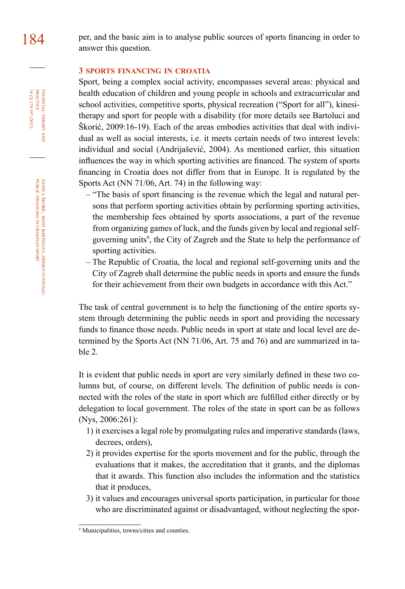#### **3 sports financing in croatia**

Sport, being a complex social activity, encompasses several areas: physical and health education of children and young people in schools and extracurricular and school activities, competitive sports, physical recreation ("Sport for all"), kinesitherapy and sport for people with a disability (for more details see Bartoluci and Škorić, 2009:16-19). Each of the areas embodies activities that deal with individual as well as social interests, i.e. it meets certain needs of two interest levels: individual and social (Andrijašević, 2004). As mentioned earlier, this situation influences the way in which sporting activities are financed. The system of sports financing in Croatia does not differ from that in Europe. It is regulated by the Sports Act (NN 71/06, Art. 74) in the following way:

- "The basis of sport financing is the revenue which the legal and natural persons that perform sporting activities obtain by performing sporting activities, the membership fees obtained by sports associations, a part of the revenue from organizing games of luck, and the funds given by local and regional selfgoverning units<sup>9</sup>, the City of Zagreb and the State to help the performance of sporting activities.
- The Republic of Croatia, the local and regional self-governing units and the City of Zagreb shall determine the public needs in sports and ensure the funds for their achievement from their own budgets in accordance with this Act."

The task of central government is to help the functioning of the entire sports system through determining the public needs in sport and providing the necessary funds to finance those needs. Public needs in sport at state and local level are determined by the Sports Act (NN 71/06, Art. 75 and 76) and are summarized in table 2.

It is evident that public needs in sport are very similarly defined in these two columns but, of course, on different levels. The definition of public needs is connected with the roles of the state in sport which are fulfilled either directly or by delegation to local government. The roles of the state in sport can be as follows (Nys, 2006:261):

- 1) it exercises a legal role by promulgating rules and imperative standards (laws, decrees, orders),
- 2) it provides expertise for the sports movement and for the public, through the evaluations that it makes, the accreditation that it grants, and the diplomas that it awards. This function also includes the information and the statistics that it produces,
- 3) it values and encourages universal sports participation, in particular for those who are discriminated against or disadvantaged, without neglecting the spor-

36 (2) 179-197 (2012) FINANCIAL THEORY<br>PRACTICE 36 (2) 179-197 (2012) PRACTICE financial theory and

<sup>9</sup> Municipalities, towns/cities and counties.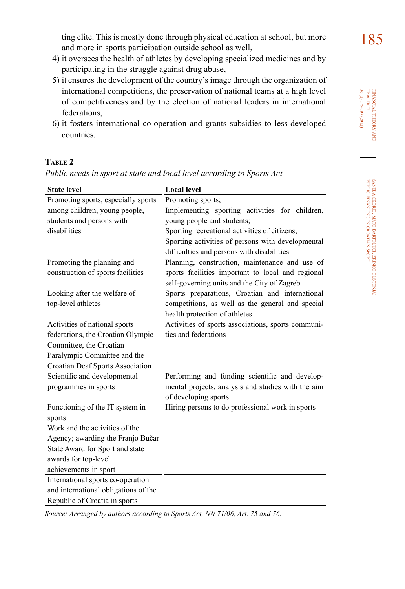- 4) it oversees the health of athletes by developing specialized medicines and by participating in the struggle against drug abuse,
- 5) it ensures the development of the country's image through the organization of international competitions, the preservation of national teams at a high level of competitiveness and by the election of national leaders in international federations,
- 6) it fosters international co-operation and grants subsidies to less-developed countries.

#### **Table 2**

*Public needs in sport at state and local level according to Sports Act*

| <b>State level</b>                   | <b>Local level</b>                                 |
|--------------------------------------|----------------------------------------------------|
| Promoting sports, especially sports  | Promoting sports;                                  |
| among children, young people,        | Implementing sporting activities for children,     |
| students and persons with            | young people and students;                         |
| disabilities                         | Sporting recreational activities of citizens;      |
|                                      | Sporting activities of persons with developmental  |
|                                      | difficulties and persons with disabilities         |
| Promoting the planning and           | Planning, construction, maintenance and use of     |
| construction of sports facilities    | sports facilities important to local and regional  |
|                                      | self-governing units and the City of Zagreb        |
| Looking after the welfare of         | Sports preparations, Croatian and international    |
| top-level athletes                   | competitions, as well as the general and special   |
|                                      | health protection of athletes                      |
| Activities of national sports        | Activities of sports associations, sports communi- |
| federations, the Croatian Olympic    | ties and federations                               |
| Committee, the Croatian              |                                                    |
| Paralympic Committee and the         |                                                    |
| Croatian Deaf Sports Association     |                                                    |
| Scientific and developmental         | Performing and funding scientific and develop-     |
| programmes in sports                 | mental projects, analysis and studies with the aim |
|                                      | of developing sports                               |
| Functioning of the IT system in      | Hiring persons to do professional work in sports   |
| sports                               |                                                    |
| Work and the activities of the       |                                                    |
| Agency; awarding the Franjo Bučar    |                                                    |
| State Award for Sport and state      |                                                    |
| awards for top-level                 |                                                    |
| achievements in sport                |                                                    |
| International sports co-operation    |                                                    |
| and international obligations of the |                                                    |
| Republic of Croatia in sports        |                                                    |

*Source: Arranged by authors according to Sports Act, NN 71/06, Art. 75 and 76.*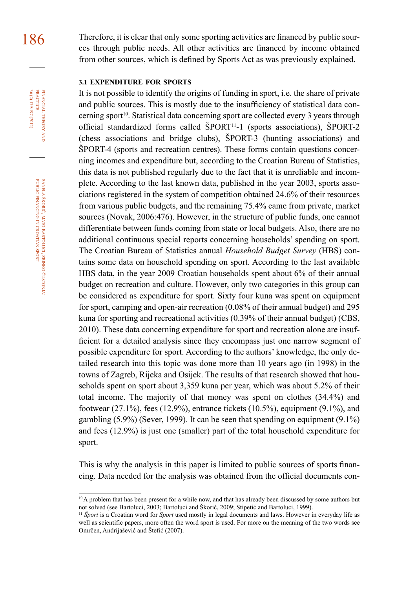186 Therefore, it is clear that only some sporting activities are financed by public sources through public needs. All other activities are financed by income obtained from other sources, which is defined by Sports Act as was previously explained.

#### **3.1 expenditure for sports**

It is not possible to identify the origins of funding in sport, i.e. the share of private and public sources. This is mostly due to the insufficiency of statistical data concerning sport<sup>10</sup>. Statistical data concerning sport are collected every 3 years through official standardized forms called ŠPORT<sup>11</sup>-1 (sports associations), ŠPORT-2 (chess associations and bridge clubs), ŠPORT-3 (hunting associations) and ŠPORT-4 (sports and recreation centres). These forms contain questions concerning incomes and expenditure but, according to the Croatian Bureau of Statistics, this data is not published regularly due to the fact that it is unreliable and incomplete. According to the last known data, published in the year 2003, sports associations registered in the system of competition obtained 24.6% of their resources from various public budgets, and the remaining 75.4% came from private, market sources (Novak, 2006:476). However, in the structure of public funds, one cannot differentiate between funds coming from state or local budgets. Also, there are no additional continuous special reports concerning households' spending on sport. The Croatian Bureau of Statistics annual *Household Budget Survey* (HBS) contains some data on household spending on sport. According to the last available HBS data, in the year 2009 Croatian households spent about 6% of their annual budget on recreation and culture. However, only two categories in this group can be considered as expenditure for sport. Sixty four kuna was spent on equipment for sport, camping and open-air recreation (0.08% of their annual budget) and 295 kuna for sporting and recreational activities (0.39% of their annual budget) (CBS, 2010). These data concerning expenditure for sport and recreation alone are insufficient for a detailed analysis since they encompass just one narrow segment of possible expenditure for sport. According to the authors' knowledge, the only detailed research into this topic was done more than 10 years ago (in 1998) in the towns of Zagreb, Rijeka and Osijek. The results of that research showed that households spent on sport about 3,359 kuna per year, which was about 5.2% of their total income. The majority of that money was spent on clothes (34.4%) and footwear  $(27.1\%)$ , fees  $(12.9\%)$ , entrance tickets  $(10.5\%)$ , equipment  $(9.1\%)$ , and gambling (5.9%) (Sever, 1999). It can be seen that spending on equipment (9.1%) and fees (12.9%) is just one (smaller) part of the total household expenditure for sport.

This is why the analysis in this paper is limited to public sources of sports financing. Data needed for the analysis was obtained from the official documents con-

čustonja:

financial

FINANCIAL THEORY<br>PRACTICE 36 (2) 179-197 (2012)

36 (2) 179-197 (2012) PRACTICE

theory

<sup>&</sup>lt;sup>10</sup> A problem that has been present for a while now, and that has already been discussed by some authors but not solved (see Bartoluci, 2003; Bartoluci and Škorić, 2009; Stipetić and Bartoluci, 1999).

<sup>11</sup> *Šport* is a Croatian word for *Sport* used mostly in legal documents and laws. However in everyday life as well as scientific papers, more often the word sport is used. For more on the meaning of the two words see Omrčen, Andrijašević and Štefić (2007).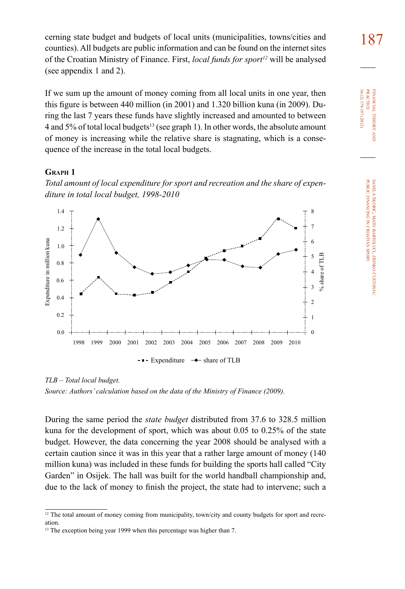cerning state budget and budgets of local units (municipalities, towns/cities and  $187$ counties). All budgets are public information and can be found on the internet sites of the Croatian Ministry of Finance. First, *local funds for sport12* will be analysed (see appendix 1 and 2).

If we sum up the amount of money coming from all local units in one year, then this figure is between 440 million (in 2001) and 1.320 billion kuna (in 2009). During the last 7 years these funds have slightly increased and amounted to between 4 and 5% of total local budgets<sup>13</sup> (see graph 1). In other words, the absolute amount of money is increasing while the relative share is stagnating, which is a consequence of the increase in the total local budgets.

#### **Graph 1**





*TLB – Total local budget. Source: Authors' calculation based on the data of the Ministry of Finance (2009).*

During the same period the *state budget* distributed from 37.6 to 328.5 million kuna for the development of sport, which was about 0.05 to 0.25% of the state budget. However, the data concerning the year 2008 should be analysed with a certain caution since it was in this year that a rather large amount of money (140 million kuna) was included in these funds for building the sports hall called "City Garden" in Osijek. The hall was built for the world handball championship and, due to the lack of money to finish the project, the state had to intervene; such a

<sup>&</sup>lt;sup>12</sup> The total amount of money coming from municipality, town/city and county budgets for sport and recreation.

<sup>&</sup>lt;sup>13</sup> The exception being year 1999 when this percentage was higher than 7.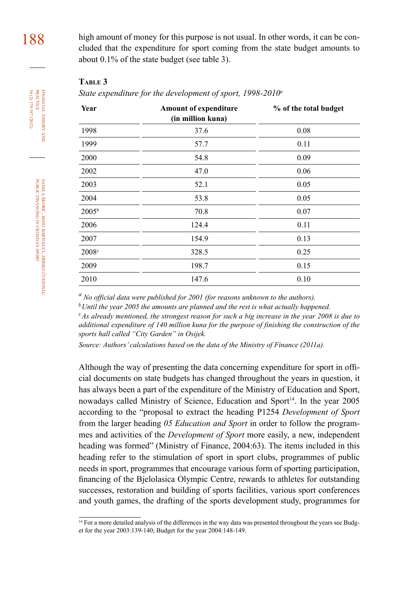188 high amount of money for this purpose is not usual. In other words, it can be concluded that the expenditure for sport coming from the state budget amounts to about 0.1% of the state budget (see table 3).

#### **Table 3**

*State expenditure for the development of sport, 1998-2010<sup>a</sup>*

| Year              | <b>Amount of expenditure</b><br>(in million kuna) | % of the total budget |  |  |  |  |
|-------------------|---------------------------------------------------|-----------------------|--|--|--|--|
| 1998              | 37.6                                              | 0.08                  |  |  |  |  |
| 1999              | 57.7                                              | 0.11                  |  |  |  |  |
| 2000              | 54.8                                              | 0.09                  |  |  |  |  |
| 2002              | 47.0                                              | 0.06                  |  |  |  |  |
| 2003              | 52.1                                              | 0.05                  |  |  |  |  |
| 2004              | 53.8                                              | 0.05                  |  |  |  |  |
| 2005 <sup>b</sup> | 70.8                                              | 0.07                  |  |  |  |  |
| 2006              | 124.4                                             | 0.11                  |  |  |  |  |
| 2007              | 154.9                                             | 0.13                  |  |  |  |  |
| 2008c             | 328.5                                             | 0.25                  |  |  |  |  |
| 2009              | 198.7                                             | 0.15                  |  |  |  |  |
| 2010              | 147.6                                             | 0.10                  |  |  |  |  |

*a No official data were published for 2001 (for reasons unknown to the authors).*

*<sup>b</sup>Until the year 2005 the amounts are planned and the rest is what actually happened.*

*<sup>c</sup>As already mentioned, the strongest reason for such a big increase in the year 2008 is due to additional expenditure of 140 million kuna for the purpose of finishing the construction of the sports hall called "City Garden" in Osijek.*

*Source: Authors' calculations based on the data of the Ministry of Finance (2011a).*

Although the way of presenting the data concerning expenditure for sport in official documents on state budgets has changed throughout the years in question, it has always been a part of the expenditure of the Ministry of Education and Sport, nowadays called Ministry of Science, Education and Sport<sup>14</sup>. In the year 2005 according to the "proposal to extract the heading P1254 *Development of Sport* from the larger heading *05 Education and Sport* in order to follow the programmes and activities of the *Development of Sport* more easily, a new, independent heading was formed" (Ministry of Finance, 2004:63). The items included in this heading refer to the stimulation of sport in sport clubs, programmes of public needs in sport, programmes that encourage various form of sporting participation, financing of the Bjelolasica Olympic Centre, rewards to athletes for outstanding successes, restoration and building of sports facilities, various sport conferences and youth games, the drafting of the sports development study, programmes for

36 (2) 179-197 (2012) FINANCIAL THEORY AND PRACTICE 36 (2) 179-197 (2012) PRACTICE financial theory

<sup>&</sup>lt;sup>14</sup> For a more detailed analysis of the differences in the way data was presented throughout the years see Budget for the year 2003:139-140; Budget for the year 2004:148-149.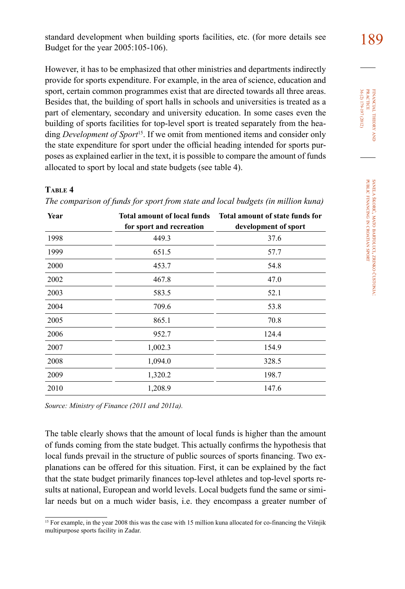standard development when building sports facilities, etc. (for more details see 189 Budget for the year 2005:105-106).

However, it has to be emphasized that other ministries and departments indirectly provide for sports expenditure. For example, in the area of science, education and sport, certain common programmes exist that are directed towards all three areas. Besides that, the building of sport halls in schools and universities is treated as a part of elementary, secondary and university education. In some cases even the building of sports facilities for top-level sport is treated separately from the heading *Development of Sport*<sup>15</sup>. If we omit from mentioned items and consider only the state expenditure for sport under the official heading intended for sports purposes as explained earlier in the text, it is possible to compare the amount of funds allocated to sport by local and state budgets (see table 4).

#### **Table 4**

| Year | <b>Total amount of local funds</b><br>for sport and recreation | Total amount of state funds for<br>development of sport |
|------|----------------------------------------------------------------|---------------------------------------------------------|
| 1998 | 449.3                                                          | 37.6                                                    |
| 1999 | 651.5                                                          | 57.7                                                    |
| 2000 | 453.7                                                          | 54.8                                                    |
| 2002 | 467.8                                                          | 47.0                                                    |
| 2003 | 583.5                                                          | 52.1                                                    |
| 2004 | 709.6                                                          | 53.8                                                    |
| 2005 | 865.1                                                          | 70.8                                                    |
| 2006 | 952.7                                                          | 124.4                                                   |
| 2007 | 1,002.3                                                        | 154.9                                                   |
| 2008 | 1,094.0                                                        | 328.5                                                   |
| 2009 | 1,320.2                                                        | 198.7                                                   |
| 2010 | 1,208.9                                                        | 147.6                                                   |

*The comparison of funds for sport from state and local budgets (in million kuna)*

*Source: Ministry of Finance (2011 and 2011a).*

The table clearly shows that the amount of local funds is higher than the amount of funds coming from the state budget. This actually confirms the hypothesis that local funds prevail in the structure of public sources of sports financing. Two explanations can be offered for this situation. First, it can be explained by the fact that the state budget primarily finances top-level athletes and top-level sports results at national, European and world levels. Local budgets fund the same or similar needs but on a much wider basis, i.e. they encompass a greater number of

<sup>&</sup>lt;sup>15</sup> For example, in the year 2008 this was the case with 15 million kuna allocated for co-financing the Višnjik multipurpose sports facility in Zadar.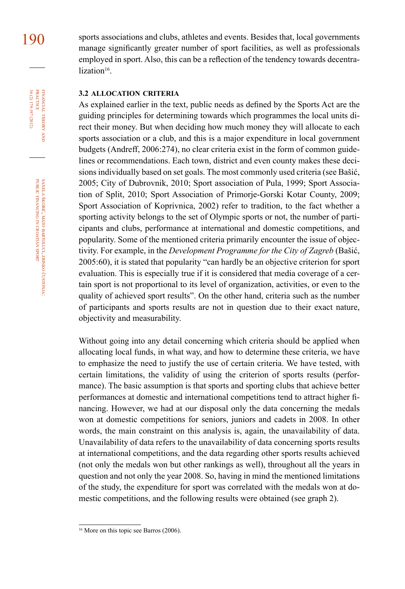FINANCIAL THEORY<br>PRACTICE 36 (2) 179-197 (2012) 36 (2) 179-197 (2012) PRACTICE financial theory and

190 sports associations and clubs, athletes and events. Besides that, local governments manage significantly greater number of sport facilities, as well as professionals employed in sport. Also, this can be a reflection of the tendency towards decentralization<sup>16</sup>

#### **3.2 allocation criteria**

As explained earlier in the text, public needs as defined by the Sports Act are the guiding principles for determining towards which programmes the local units direct their money. But when deciding how much money they will allocate to each sports association or a club, and this is a major expenditure in local government budgets (Andreff, 2006:274), no clear criteria exist in the form of common guidelines or recommendations. Each town, district and even county makes these decisions individually based on set goals. The most commonly used criteria (see Bašić, 2005; City of Dubrovnik, 2010; Sport association of Pula, 1999; Sport Association of Split, 2010; Sport Association of Primorje-Gorski Kotar County, 2009; Sport Association of Koprivnica, 2002) refer to tradition, to the fact whether a sporting activity belongs to the set of Olympic sports or not, the number of participants and clubs, performance at international and domestic competitions, and popularity. Some of the mentioned criteria primarily encounter the issue of objectivity. For example, in the *Development Programme for the City of Zagreb* (Bašić, 2005:60), it is stated that popularity "can hardly be an objective criterion for sport evaluation. This is especially true if it is considered that media coverage of a certain sport is not proportional to its level of organization, activities, or even to the quality of achieved sport results". On the other hand, criteria such as the number of participants and sports results are not in question due to their exact nature, objectivity and measurability.

Without going into any detail concerning which criteria should be applied when allocating local funds, in what way, and how to determine these criteria, we have to emphasize the need to justify the use of certain criteria. We have tested, with certain limitations, the validity of using the criterion of sports results (performance). The basic assumption is that sports and sporting clubs that achieve better performances at domestic and international competitions tend to attract higher financing. However, we had at our disposal only the data concerning the medals won at domestic competitions for seniors, juniors and cadets in 2008. In other words, the main constraint on this analysis is, again, the unavailability of data. Unavailability of data refers to the unavailability of data concerning sports results at international competitions, and the data regarding other sports results achieved (not only the medals won but other rankings as well), throughout all the years in question and not only the year 2008. So, having in mind the mentioned limitations of the study, the expenditure for sport was correlated with the medals won at domestic competitions, and the following results were obtained (see graph 2).

<sup>&</sup>lt;sup>16</sup> More on this topic see Barros (2006).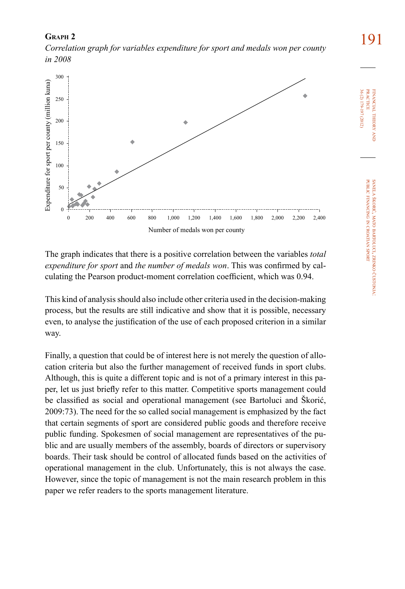191 **Graph 2**  *Correlation graph for variables expenditure for sport and medals won per county in 2008* 



The graph indicates that there is a positive correlation between the variables *total expenditure for sport* and *the number of medals won*. This was confirmed by calculating the Pearson product-moment correlation coefficient, which was 0.94.

This kind of analysis should also include other criteria used in the decision-making process, but the results are still indicative and show that it is possible, necessary even, to analyse the justification of the use of each proposed criterion in a similar way.

Finally, a question that could be of interest here is not merely the question of allocation criteria but also the further management of received funds in sport clubs. Although, this is quite a different topic and is not of a primary interest in this paper, let us just briefly refer to this matter. Competitive sports management could be classified as social and operational management (see Bartoluci and Škorić, 2009:73). The need for the so called social management is emphasized by the fact that certain segments of sport are considered public goods and therefore receive public funding. Spokesmen of social management are representatives of the public and are usually members of the assembly, boards of directors or supervisory boards. Their task should be control of allocated funds based on the activities of operational management in the club. Unfortunately, this is not always the case. However, since the topic of management is not the main research problem in this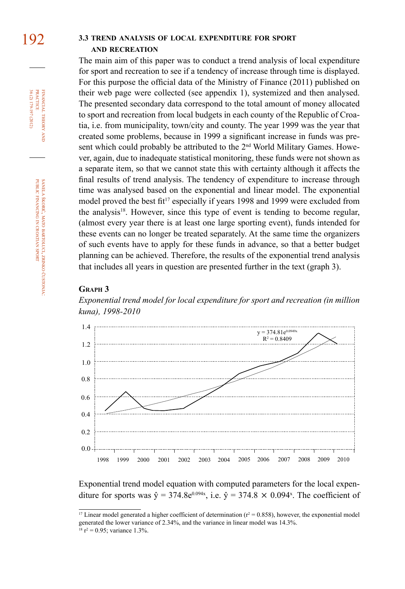#### 192 **3.3 trend analysis of local expenditure for sport and recreation**

The main aim of this paper was to conduct a trend analysis of local expenditure for sport and recreation to see if a tendency of increase through time is displayed. For this purpose the official data of the Ministry of Finance (2011) published on their web page were collected (see appendix 1), systemized and then analysed. The presented secondary data correspond to the total amount of money allocated to sport and recreation from local budgets in each county of the Republic of Croatia, i.e. from municipality, town/city and county. The year 1999 was the year that created some problems, because in 1999 a significant increase in funds was present which could probably be attributed to the 2<sup>nd</sup> World Military Games. However, again, due to inadequate statistical monitoring, these funds were not shown as a separate item, so that we cannot state this with certainty although it affects the final results of trend analysis. The tendency of expenditure to increase through time was analysed based on the exponential and linear model. The exponential model proved the best fit<sup>17</sup> especially if years 1998 and 1999 were excluded from the analysis<sup>18</sup>. However, since this type of event is tending to become regular, (almost every year there is at least one large sporting event), funds intended for these events can no longer be treated separately. At the same time the organizers of such events have to apply for these funds in advance, so that a better budget planning can be achieved. Therefore, the results of the exponential trend analysis that includes all years in question are presented further in the text (graph 3).

#### **Graph 3**

*Exponential trend model for local expenditure for sport and recreation (in million kuna), 1998-2010*



Exponential trend model equation with computed parameters for the local expenditure for sports was  $\hat{y} = 374.8e^{0.094x}$ , i.e.  $\hat{y} = 374.8 \times 0.094^x$ . The coefficient of

financial

36 (2) 179-197 (2012) PRACTICE

36 (2) 179-197 (2012) **PRACTICE** FINANCIAL THEORY

theory and

<sup>&</sup>lt;sup>17</sup> Linear model generated a higher coefficient of determination  $(r^2 = 0.858)$ , however, the exponential model generated the lower variance of 2.34%, and the variance in linear model was 14.3%.  $18 \text{ r}^2 = 0.95$ ; variance 1.3%.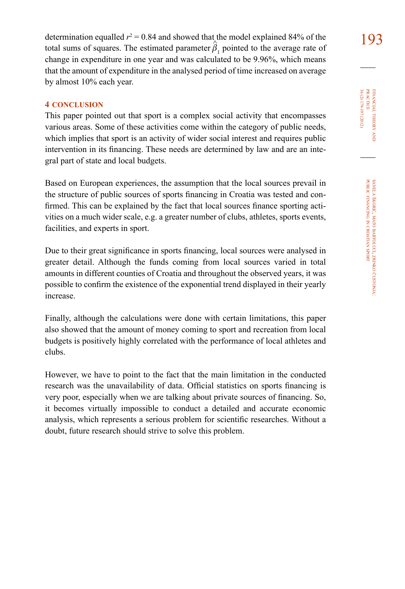determination equalled  $r^2 = 0.84$  and showed that the model explained 84% of the 193 total sums of squares. The estimated parameter  $\hat{\beta}_1$  pointed to the average rate of change in expenditure in one year and was calculated to be 9.96%, which means that the amount of expenditure in the analysed period of time increased on average by almost 10% each year.

#### **4 conclusion**

This paper pointed out that sport is a complex social activity that encompasses various areas. Some of these activities come within the category of public needs, which implies that sport is an activity of wider social interest and requires public intervention in its financing. These needs are determined by law and are an integral part of state and local budgets.

Based on European experiences, the assumption that the local sources prevail in the structure of public sources of sports financing in Croatia was tested and confirmed. This can be explained by the fact that local sources finance sporting activities on a much wider scale, e.g. a greater number of clubs, athletes, sports events, facilities, and experts in sport.

Due to their great significance in sports financing, local sources were analysed in greater detail. Although the funds coming from local sources varied in total amounts in different counties of Croatia and throughout the observed years, it was possible to confirm the existence of the exponential trend displayed in their yearly increase.

Finally, although the calculations were done with certain limitations, this paper also showed that the amount of money coming to sport and recreation from local budgets is positively highly correlated with the performance of local athletes and clubs.

However, we have to point to the fact that the main limitation in the conducted research was the unavailability of data. Official statistics on sports financing is very poor, especially when we are talking about private sources of financing. So, it becomes virtually impossible to conduct a detailed and accurate economic analysis, which represents a serious problem for scientific researches. Without a doubt, future research should strive to solve this problem.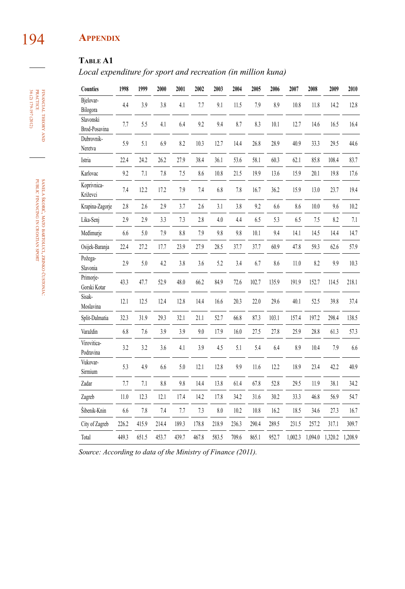## 194 **Appendix**

### **Table A1**

*Local expenditure for sport and recreation (in million kuna)* 

|                                   |          | 1999  | 2000  | 2001    | 2002  | 2003  | 2004  | 2005  | 2006  | 2007    | 2008    | 2009    | 2010    |
|-----------------------------------|----------|-------|-------|---------|-------|-------|-------|-------|-------|---------|---------|---------|---------|
| Bjelovar-<br>Bilogora             | 4.4      | 3.9   | 3.8   | 4.1     | 7.7   | 9.1   | 11.5  | 7.9   | 8.9   | 10.8    | 11.8    | 14.2    | 12.8    |
| Slavonski<br><b>Brod-Posavina</b> | 7.7      | 5.5   | 4.1   | 6.4     | 9.2   | 9.4   | 8.7   | 8.3   | 10.1  | 12.7    | 14.6    | 16.5    | 16.4    |
| Dubrovnik-<br>Neretva             | 5.9      | 5.1   | 6.9   | 8.2     | 10.3  | 12.7  | 14.4  | 26.8  | 28.9  | 40.9    | 33.3    | 29.5    | 44.6    |
| Istria                            | 22.4     | 24.2  | 26.2  | 27.9    | 38.4  | 36.1  | 53.6  | 58.1  | 60.3  | 62.1    | 85.8    | 108.4   | 83.7    |
| Karlovac                          | 9.2      | 7.1   | 7.8   | 7.5     | 8.6   | 10.8  | 21.5  | 19.9  | 13.6  | 15.9    | 20.1    | 19.8    | 17.6    |
| Koprivnica-<br>Križevci           | 7.4      | 12.2  | 17.2  | 7.9     | 7.4   | 6.8   | 7.8   | 16.7  | 36.2  | 15.9    | 13.0    | 23.7    | 19.4    |
| Krapina-Zagorje                   | 2.8      | 2.6   | $2.9$ | 3.7     | 2.6   | 3.1   | 3.8   | 9.2   | 6.6   | 8.6     | $10.0$  | 9.6     | 10.2    |
| Lika-Senj                         | 2.9      | 2.9   | 3.3   | 7.3     | 2.8   | 4.0   | 4.4   | 6.5   | 5.3   | 6.5     | 7.5     | 8.2     | 7.1     |
| Medimurje                         | 6.6      | 5.0   | 7.9   | $8.8\,$ | 7.9   | 9.8   | 9.8   | 10.1  | 9.4   | 14.1    | 14.5    | 14.4    | 14.7    |
| Osijek-Baranja                    | 22.4     | 27.2  | 17.7  | 23.9    | 27.9  | 28.5  | 37.7  | 37.7  | 60.9  | 47.8    | 59.3    | 62.6    | 57.9    |
| Požega-<br>Slavonia               | 2.9      | 5.0   | 4.2   | 3.8     | 3.6   | 5.2   | 3.4   | 6.7   | 8.6   | 11.0    | 8.2     | 9.9     | 10.3    |
| Primorje-<br>Gorski Kotar         | 43.3     | 47.7  | 52.9  | 48.0    | 66.2  | 84.9  | 72.6  | 102.7 | 135.9 | 191.9   | 152.7   | 114.5   | 218.1   |
| Sisak-<br>Moslavina               | 12.1     | 12.5  | 12.4  | 12.8    | 14.4  | 16.6  | 20.3  | 22.0  | 29.6  | 40.1    | 52.5    | 39.8    | 37.4    |
| Split-Dalmatia                    | 32.3     | 31.9  | 29.3  | 32.1    | 21.1  | 52.7  | 66.8  | 87.3  | 103.1 | 157.4   | 197.2   | 298.4   | 138.5   |
| Varaždin                          | 6.8      | 7.6   | 3.9   | 3.9     | 9.0   | 17.9  | 16.0  | 27.5  | 27.8  | 25.9    | 28.8    | 61.3    | 57.3    |
| Virovitica-<br>Podravina          | 3.2      | 3.2   | 3.6   | 4.1     | 3.9   | 4.5   | 5.1   | 5.4   | 6.4   | 8.9     | 10.4    | 7.9     | 6.6     |
| Vukovar-<br>Sirmium               | 5.3      | 4.9   | 6.6   | 5.0     | 12.1  | 12.8  | 9.9   | 11.6  | 12.2  | 18.9    | 23.4    | 42.2    | 40.9    |
| Zadar                             | 7.7      | 7.1   | 8.8   | 9.8     | 14.4  | 13.8  | 61.4  | 67.8  | 52.8  | 29.5    | 11.9    | 38.1    | 34.2    |
| Zagreb                            | $11.0\,$ | 12.3  | 12.1  | 17.4    | 14.2  | 17.8  | 34.2  | 31.6  | 30.2  | 33.3    | 46.8    | 56.9    | 54.7    |
| Šibenik-Knin                      | 6.6      | 7.8   | 7.4   | 7.7     | 7.3   | 8.0   | 10.2  | 10.8  | 16.2  | 18.5    | 34.6    | 27.3    | 16.7    |
| City of Zagreb                    | 226.2    | 415.9 | 214.4 | 189.3   | 178.8 | 218.9 | 236.3 | 290.4 | 289.5 | 231.5   | 257.2   | 317.1   | 309.7   |
| Total                             | 449.3    | 651.5 | 453.7 | 439.7   | 467.8 | 583.5 | 709.6 | 865.1 | 952.7 | 1,002.3 | 1,094.0 | 1,320.2 | 1,208.9 |

*Source: According to data of the Ministry of Finance (2011).*

financial theory **FINANCIAL THEORY AND PRACTICE**<br>**PRACTICE**<br>36 (2) 179-197 (2012) 36 (2) 179-197 (2012) PRACTICE

> sanela škorić, mato bartoluci, zrinko čustonja: public financing z croatian sport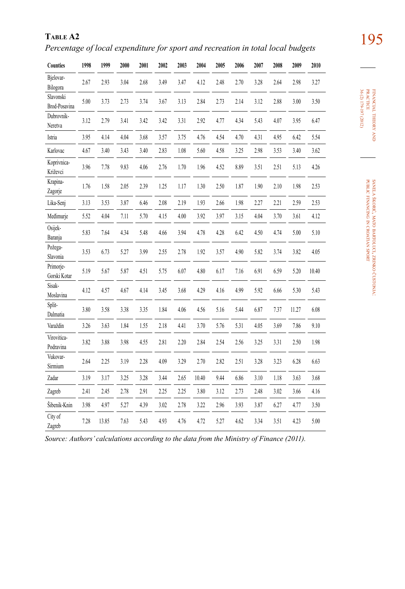195 **Table A2** *Percentage of local expenditure for sport and recreation in total local budgets* 

| Counties                   | 1998 | 1999  | 2000 | 2001 | 2002 | 2003 | 2004  | 2005 | 2006 | 2007 | 2008 | 2009  | 2010  |
|----------------------------|------|-------|------|------|------|------|-------|------|------|------|------|-------|-------|
| Bjelovar-<br>Bilogora      | 2.67 | 2.93  | 3.04 | 2.68 | 3.49 | 3.47 | 4.12  | 2.48 | 2.70 | 3.28 | 2.64 | 2.98  | 3.27  |
| Slavonski<br>Brod-Posavina | 5.00 | 3.73  | 2.73 | 3.74 | 3.67 | 3.13 | 2.84  | 2.73 | 2.14 | 3.12 | 2.88 | 3.00  | 3.50  |
| Dubrovnik-<br>Neretva      | 3.12 | 2.79  | 3.41 | 3.42 | 3.42 | 3.31 | 2.92  | 4.77 | 4.34 | 5.43 | 4.07 | 3.95  | 6.47  |
| Istria                     | 3.95 | 4.14  | 4.04 | 3.68 | 3.57 | 3.75 | 4.76  | 4.54 | 4.70 | 4.31 | 4.95 | 6.42  | 5.54  |
| Karlovac                   | 4.67 | 3.40  | 3.43 | 3.40 | 2.83 | 1.08 | 5.60  | 4.58 | 3.25 | 2.98 | 3.53 | 3.40  | 3.62  |
| Koprivnica-<br>Križevci    | 3.96 | 7.78  | 9.83 | 4.06 | 2.76 | 1.70 | 1.96  | 4.52 | 8.89 | 3.51 | 2.51 | 5.13  | 4.26  |
| Krapina-<br>Zagorje        | 1.76 | 1.58  | 2.05 | 2.39 | 1.25 | 1.17 | 1.30  | 2.50 | 1.87 | 1.90 | 2.10 | 1.98  | 2.53  |
| Lika-Senj                  | 3.13 | 3.53  | 3.87 | 6.46 | 2.08 | 2.19 | 1.93  | 2.66 | 1.98 | 2.27 | 2.21 | 2.59  | 2.53  |
| Medimurje                  | 5.52 | 4.04  | 7.11 | 5.70 | 4.15 | 4.00 | 3.92  | 3.97 | 3.15 | 4.04 | 3.70 | 3.61  | 4.12  |
| Osijek-<br>Baranja         | 5.83 | 7.64  | 4.34 | 5.48 | 4.66 | 3.94 | 4.78  | 4.28 | 6.42 | 4.50 | 4.74 | 5.00  | 5.10  |
| Požega-<br>Slavonia        | 3.53 | 6.73  | 5.27 | 3.99 | 2.55 | 2.78 | 1.92  | 3.57 | 4.90 | 5.82 | 3.74 | 3.82  | 4.05  |
| Primorje-<br>Gorski Kotar  | 5.19 | 5.67  | 5.87 | 4.51 | 5.75 | 6.07 | 4.80  | 6.17 | 7.16 | 6.91 | 6.59 | 5.20  | 10.40 |
| Sisak-<br>Moslavina        | 4.12 | 4.57  | 4.67 | 4.14 | 3.45 | 3.68 | 4.29  | 4.16 | 4.99 | 5.92 | 6.66 | 5.30  | 5.43  |
| Split-<br>Dalmatia         | 3.80 | 3.58  | 3.38 | 3.35 | 1.84 | 4.06 | 4.56  | 5.16 | 5.44 | 6.87 | 7.37 | 11.27 | 6.08  |
| Varaždin                   | 3.26 | 3.63  | 1.84 | 1.55 | 2.18 | 4.41 | 3.70  | 5.76 | 5.31 | 4.05 | 3.69 | 7.86  | 9.10  |
| Virovitica-<br>Podravina   | 3.82 | 3.88  | 3.98 | 4.55 | 2.81 | 2.20 | 2.84  | 2.54 | 2.56 | 3.25 | 3.31 | 2.50  | 1.98  |
| Vukovar-<br>Sirmium        | 2.64 | 2.25  | 3.19 | 2.28 | 4.09 | 3.29 | 2.70  | 2.82 | 2.51 | 3.28 | 3.23 | 6.28  | 6.63  |
| Zadar                      | 3.19 | 3.17  | 3.25 | 3.28 | 3.44 | 2.65 | 10.40 | 9.44 | 6.86 | 3.10 | 1.18 | 3.63  | 3.68  |
| Zagreb                     | 2.41 | 2.45  | 2.78 | 2.91 | 2.25 | 2.25 | 3.80  | 3.12 | 2.73 | 2.48 | 3.02 | 3.66  | 4.16  |
| Šibenik-Knin               | 3.98 | 4.97  | 5.27 | 4.39 | 3.02 | 2.78 | 3.22  | 2.96 | 3.93 | 3.87 | 6.27 | 4.77  | 3.50  |
| City of<br>Zagreb          | 7.28 | 13.85 | 7.63 | 5.43 | 4.93 | 4.76 | 4.72  | 5.27 | 4.62 | 3.34 | 3.51 | 4.23  | 5.00  |

financial theory EINANCIAL THEORY AND<br>PRACTICE<br>36 (2) 179-197 (2012) 36 (2) 179-197 (2012) practice

*Source: Authors' calculations according to the data from the Ministry of Finance (2011).*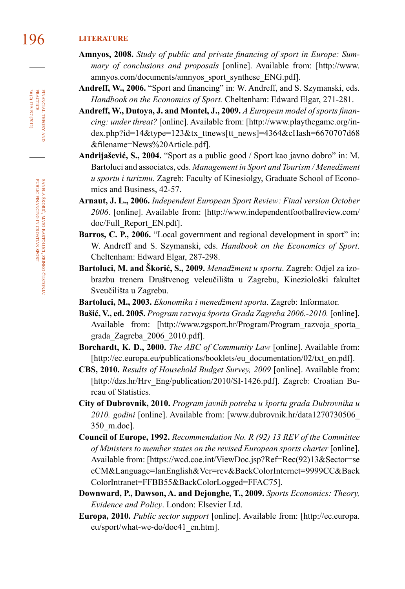### 196 **literature**

- **Amnyos, 2008.** *Study of public and private financing of sport in Europe: Summary of conclusions and proposals* [online]. Available from: [http://www. amnyos.com/documents/amnyos\_sport\_synthese\_ENG.pdf].
- **Andreff, W., 2006.** "Sport and financing" in: W. Andreff, and S. Szymanski, eds. *Handbook on the Economics of Sport.* Cheltenham: Edward Elgar, 271-281.
- **Andreff, W., Dutoya, J. and Montel, J., 2009.** *A European model of sports financing: under threat?* [online]. Available from: [http://www.playthegame.org/index.php?id=14&type=123&tx\_ttnews[tt\_news]=4364&cHash=6670707d68 &filename=News%20Article.pdf].
- **Andrijašević, S., 2004.** "Sport as a public good / Sport kao javno dobro" in: M. Bartoluci and associates, eds. *Management in Sport and Tourism / Menedžment u sportu i turizmu*. Zagreb: Faculty of Kinesiolgy, Graduate School of Economics and Business, 42-57.
- **Arnaut, J. L., 2006.** *Independent European Sport Review: Final version October 2006*. [online]. Available from: [http://www.independentfootballreview.com/ doc/Full\_Report\_EN.pdf].
- Barros, C. P., 2006. "Local government and regional development in sport" in: W. Andreff and S. Szymanski, eds. *Handbook on the Economics of Sport*. Cheltenham: Edward Elgar, 287-298.
- **Bartoluci, M. and Škorić, S., 2009.** *Menadžment u sportu*. Zagreb: Odjel za izobrazbu trenera Društvenog veleučilišta u Zagrebu, Kineziološki fakultet Sveučilišta u Zagrebu.
- **Bartoluci, M., 2003.** *Ekonomika i menedžment sporta*. Zagreb: Informator.
- **Bašić, V., ed. 2005.** *Program razvoja športa Grada Zagreba 2006.-2010.* [online]. Available from: [http://www.zgsport.hr/Program/Program\_razvoja\_sporta grada\_Zagreba\_2006\_2010.pdf].
- **Borchardt, K. D., 2000.** *The ABC of Community Law* [online]. Available from: [http://ec.europa.eu/publications/booklets/eu\_documentation/02/txt\_en.pdf].
- **CBS, 2010.** *Results of Household Budget Survey, 2009* [online]. Available from: [http://dzs.hr/Hrv\_Eng/publication/2010/SI-1426.pdf]. Zagreb: Croatian Bureau of Statistics.
- **City of Dubrovnik, 2010.** *Program javnih potreba u športu grada Dubrovnika u 2010. godini* [online]. Available from: [www.dubrovnik.hr/data1270730506\_ 350\_m.doc].
- **Council of Europe, 1992.** *Recommendation No. R (92) 13 REV of the Committee of Ministers to member states on the revised European sports charter* [online]. Available from: [https://wcd.coe.int/ViewDoc.jsp?Ref=Rec(92)13&Sector=se cCM&Language=lanEnglish&Ver=rev&BackColorInternet=9999CC&Back ColorIntranet=FFBB55&BackColorLogged=FFAC75].
- **Downward, P., Dawson, A. and Dejonghe, T., 2009.** *Sports Economics: Theory, Evidence and Policy*. London: Elsevier Ltd.
- **Europa, 2010.** *Public sector support* [online]. Available from: [http://ec.europa. eu/sport/what-we-do/doc41\_en.htm].

36 (2) 179-197 (2012) FINANCIAL THEORY<br>PRACTICE 36 (2) 179-197 (2012) PRACTICE financial theory and